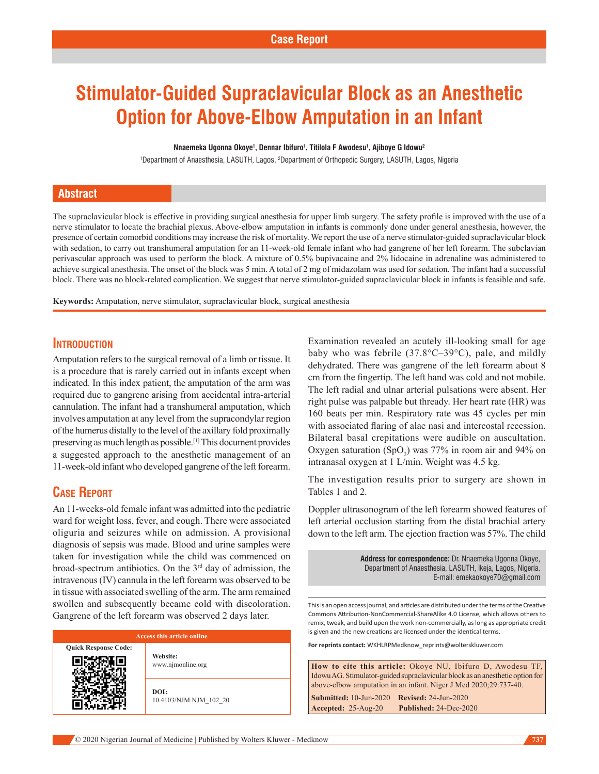# **Stimulator-Guided Supraclavicular Block as an Anesthetic Option for Above-Elbow Amputation in an Infant**

#### **Nnaemeka Ugonna Okoye1 , Dennar Ibifuro1 , Titilola F Awodesu1 , Ajiboye G Idowu2**

1 Department of Anaesthesia, LASUTH, Lagos, 2 Department of Orthopedic Surgery, LASUTH, Lagos, Nigeria

### **Abstract**

The supraclavicular block is effective in providing surgical anesthesia for upper limb surgery. The safety profile is improved with the use of a nerve stimulator to locate the brachial plexus. Above‑elbow amputation in infants is commonly done under general anesthesia, however, the presence of certain comorbid conditions may increase the risk of mortality. We report the use of a nerve stimulator‑guided supraclavicular block with sedation, to carry out transhumeral amputation for an 11-week-old female infant who had gangrene of her left forearm. The subclavian perivascular approach was used to perform the block. A mixture of 0.5% bupivacaine and 2% lidocaine in adrenaline was administered to achieve surgical anesthesia. The onset of the block was 5 min. A total of 2 mg of midazolam was used for sedation. The infant had a successful block. There was no block-related complication. We suggest that nerve stimulator-guided supraclavicular block in infants is feasible and safe.

**Keywords:** Amputation, nerve stimulator, supraclavicular block, surgical anesthesia

## **Introduction**

Amputation refers to the surgical removal of a limb or tissue. It is a procedure that is rarely carried out in infants except when indicated. In this index patient, the amputation of the arm was required due to gangrene arising from accidental intra‑arterial cannulation. The infant had a transhumeral amputation, which involves amputation at any level from the supracondylar region of the humerus distally to the level of the axillary fold proximally preserving as much length as possible.[1] This document provides a suggested approach to the anesthetic management of an 11‑week‑old infant who developed gangrene of the left forearm.

## **Case Report**

An 11-weeks-old female infant was admitted into the pediatric ward for weight loss, fever, and cough. There were associated oliguria and seizures while on admission. A provisional diagnosis of sepsis was made. Blood and urine samples were taken for investigation while the child was commenced on broad‑spectrum antibiotics. On the 3rd day of admission, the intravenous(IV) cannula in the left forearm was observed to be in tissue with associated swelling of the arm. The arm remained swollen and subsequently became cold with discoloration. Gangrene of the left forearm was observed 2 days later.

| Access this article online  |                                |  |  |  |
|-----------------------------|--------------------------------|--|--|--|
| <b>Ouick Response Code:</b> | Website:<br>www.njmonline.org  |  |  |  |
|                             | DOI:<br>10.4103/NJM.NJM 102 20 |  |  |  |

Examination revealed an acutely ill-looking small for age baby who was febrile (37.8°C–39°C), pale, and mildly dehydrated. There was gangrene of the left forearm about 8 cm from the fingertip. The left hand was cold and not mobile. The left radial and ulnar arterial pulsations were absent. Her right pulse was palpable but thready. Her heart rate (HR) was 160 beats per min. Respiratory rate was 45 cycles per min with associated flaring of alae nasi and intercostal recession. Bilateral basal crepitations were audible on auscultation. Oxygen saturation  $(SpO<sub>2</sub>)$  was 77% in room air and 94% on intranasal oxygen at 1 L/min. Weight was 4.5 kg.

The investigation results prior to surgery are shown in Tables 1 and 2.

Doppler ultrasonogram of the left forearm showed features of left arterial occlusion starting from the distal brachial artery down to the left arm. The ejection fraction was 57%. The child

> **Address for correspondence:** Dr. Nnaemeka Ugonna Okoye, Department of Anaesthesia, LASUTH, Ikeja, Lagos, Nigeria. E-mail: emekaokoye70@gmail.com

This is an open access journal, and articles are distributed under the terms of the Creative Commons Attribution‑NonCommercial‑ShareAlike 4.0 License, which allows others to remix, tweak, and build upon the work non‑commercially, as long as appropriate credit is given and the new creations are licensed under the identical terms.

**For reprints contact:** WKHLRPMedknow\_reprints@wolterskluwer.com

**How to cite this article:** Okoye NU, Ibifuro D, Awodesu TF, Idowu AG. Stimulator-guided supraclavicular block as an anesthetic option for above-elbow amputation in an infant. Niger J Med 2020;29:737-40.

**Submitted:** 10-Jun-2020 **Revised:** 24-Jun-2020 **Accepted:** 25-Aug-20 **Published:** 24-Dec-2020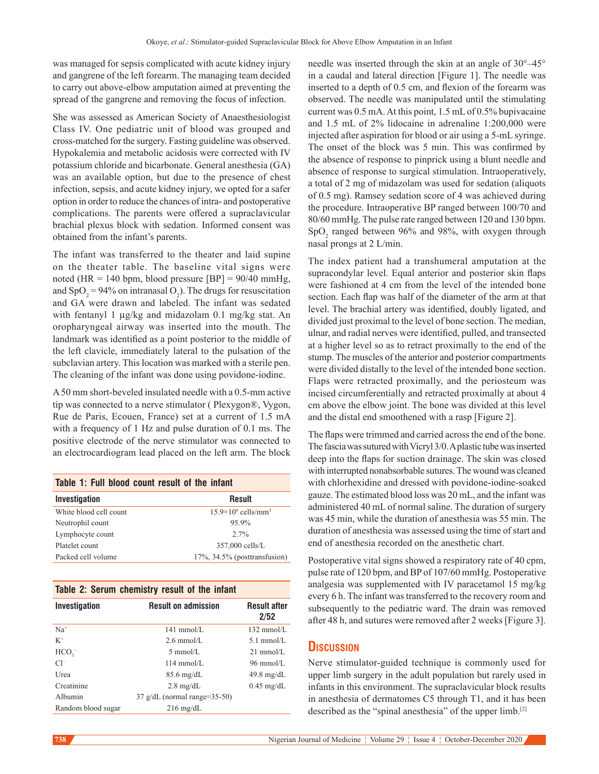was managed for sepsis complicated with acute kidney injury and gangrene of the left forearm. The managing team decided to carry out above‑elbow amputation aimed at preventing the spread of the gangrene and removing the focus of infection.

She was assessed as American Society of Anaesthesiologist Class IV. One pediatric unit of blood was grouped and cross‑matched for the surgery. Fasting guideline was observed. Hypokalemia and metabolic acidosis were corrected with IV potassium chloride and bicarbonate. General anesthesia (GA) was an available option, but due to the presence of chest infection, sepsis, and acute kidney injury, we opted for a safer option in order to reduce the chances of intra‑ and postoperative complications. The parents were offered a supraclavicular brachial plexus block with sedation. Informed consent was obtained from the infant's parents.

The infant was transferred to the theater and laid supine on the theater table. The baseline vital signs were noted (HR = 140 bpm, blood pressure [BP] =  $90/40$  mmHg, and  $SpO_2 = 94\%$  on intranasal  $O_2$ ). The drugs for resuscitation and GA were drawn and labeled. The infant was sedated with fentanyl 1  $\mu$ g/kg and midazolam 0.1 mg/kg stat. An oropharyngeal airway was inserted into the mouth. The landmark was identified as a point posterior to the middle of the left clavicle, immediately lateral to the pulsation of the subclavian artery. This location was marked with a sterile pen. The cleaning of the infant was done using povidone-iodine.

A 50 mm short‑beveled insulated needle with a 0.5‑mm active tip was connected to a nerve stimulator ( Plexygon®, Vygon, Rue de Paris, Ecouen, France) set at a current of 1.5 mA with a frequency of 1 Hz and pulse duration of 0.1 ms. The positive electrode of the nerve stimulator was connected to an electrocardiogram lead placed on the left arm. The block

| Table 1: Full blood count result of the infant |                                        |  |  |  |
|------------------------------------------------|----------------------------------------|--|--|--|
| <b>Investigation</b>                           | <b>Result</b>                          |  |  |  |
| White blood cell count                         | $15.9\times10^9$ cells/mm <sup>3</sup> |  |  |  |
| Neutrophil count                               | 95.9%                                  |  |  |  |
| Lymphocyte count                               | $2.7\%$                                |  |  |  |
| Platelet count                                 | 357,000 cells/L                        |  |  |  |
| Packed cell volume                             | $17\%$ , $34.5\%$ (posttransfusion)    |  |  |  |

|  |  |  | Table 2: Serum chemistry result of the infant |  |  |  |  |
|--|--|--|-----------------------------------------------|--|--|--|--|
|--|--|--|-----------------------------------------------|--|--|--|--|

| Investigation      | <b>Result on admission</b>                 | <b>Result after</b><br>2/52 |
|--------------------|--------------------------------------------|-----------------------------|
| $Na+$              | $141$ mmol/L                               | $132 \text{ mmol/L}$        |
| $K^+$              | $2.6 \text{ mmol/L}$                       | $5.1 \text{ mmol/L}$        |
| HCO <sub>3</sub>   | $5 \text{ mmol/L}$                         | $21 \text{ mmol/L}$         |
| $Cl^-$             | $114 \text{ mmol/L}$                       | $96 \text{ mmol/L}$         |
| Urea               | $85.6 \text{ mg/dL}$                       | $49.8 \text{ mg/dL}$        |
| Creatinine         | $2.8 \text{ mg/dL}$                        | $0.45$ mg/dL                |
| Albumin            | $37 \text{ g/dL}$ (normal range= $35-50$ ) |                             |
| Random blood sugar | $216 \text{ mg/dL}$                        |                             |

needle was inserted through the skin at an angle of 30°–45° in a caudal and lateral direction [Figure 1]. The needle was inserted to a depth of 0.5 cm, and flexion of the forearm was observed. The needle was manipulated until the stimulating current was 0.5 mA. At this point, 1.5 mL of 0.5% bupivacaine and 1.5 mL of 2% lidocaine in adrenaline 1:200,000 were injected after aspiration for blood or air using a 5‑mL syringe. The onset of the block was 5 min. This was confirmed by the absence of response to pinprick using a blunt needle and absence of response to surgical stimulation. Intraoperatively, a total of 2 mg of midazolam was used for sedation (aliquots of 0.5 mg). Ramsey sedation score of 4 was achieved during the procedure. Intraoperative BP ranged between 100/70 and 80/60 mmHg. The pulse rate ranged between 120 and 130 bpm.  $SpO<sub>2</sub>$  ranged between 96% and 98%, with oxygen through nasal prongs at 2 L/min.

The index patient had a transhumeral amputation at the supracondylar level. Equal anterior and posterior skin flaps were fashioned at 4 cm from the level of the intended bone section. Each flap was half of the diameter of the arm at that level. The brachial artery was identified, doubly ligated, and divided just proximal to the level of bone section. The median, ulnar, and radial nerves were identified, pulled, and transected at a higher level so as to retract proximally to the end of the stump. The muscles of the anterior and posterior compartments were divided distally to the level of the intended bone section. Flaps were retracted proximally, and the periosteum was incised circumferentially and retracted proximally at about 4 cm above the elbow joint. The bone was divided at this level and the distal end smoothened with a rasp [Figure 2].

The flaps were trimmed and carried across the end of the bone. The fascia was sutured with Vicryl 3/0. Aplastic tube was inserted deep into the flaps for suction drainage. The skin was closed with interrupted nonabsorbable sutures. The wound was cleaned with chlorhexidine and dressed with povidone‑iodine‑soaked gauze. The estimated blood loss was 20 mL, and the infant was administered 40 mL of normal saline. The duration of surgery was 45 min, while the duration of anesthesia was 55 min. The duration of anesthesia was assessed using the time of start and end of anesthesia recorded on the anesthetic chart.

Postoperative vital signs showed a respiratory rate of 40 cpm, pulse rate of 120 bpm, and BP of 107/60 mmHg. Postoperative analgesia was supplemented with IV paracetamol 15 mg/kg every 6 h. The infant was transferred to the recovery room and subsequently to the pediatric ward. The drain was removed after 48 h, and sutures were removed after 2 weeks [Figure 3].

## **Discussion**

Nerve stimulator‑guided technique is commonly used for upper limb surgery in the adult population but rarely used in infants in this environment. The supraclavicular block results in anesthesia of dermatomes C5 through T1, and it has been described as the "spinal anesthesia" of the upper limb.[2]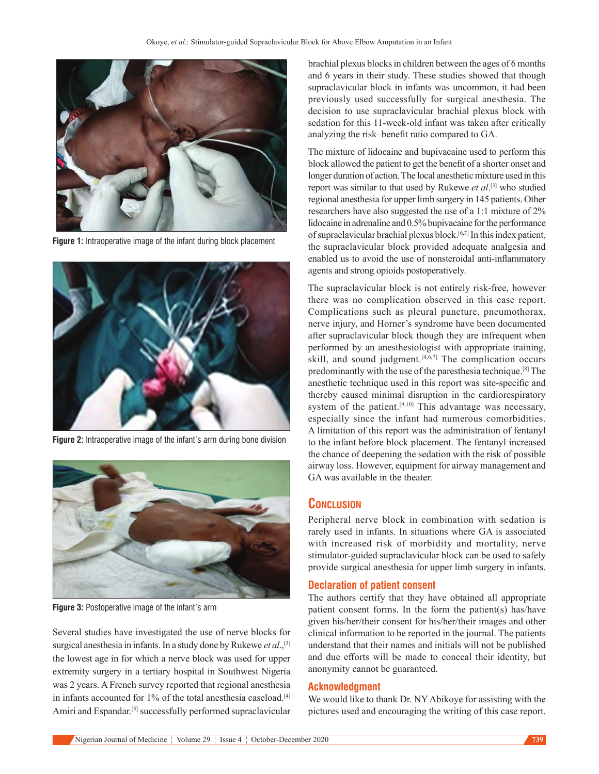

**Figure 1:** Intraoperative image of the infant during block placement



**Figure 2:** Intraoperative image of the infant's arm during bone division



**Figure 3:** Postoperative image of the infant's arm

Several studies have investigated the use of nerve blocks for surgical anesthesia in infants. In a study done by Rukewe *et al*.,[3] the lowest age in for which a nerve block was used for upper extremity surgery in a tertiary hospital in Southwest Nigeria was 2 years. A French survey reported that regional anesthesia in infants accounted for 1% of the total anesthesia caseload.<sup>[4]</sup> Amiri and Espandar.<sup>[5]</sup> successfully performed supraclavicular

brachial plexus blocks in children between the ages of 6 months and 6 years in their study. These studies showed that though supraclavicular block in infants was uncommon, it had been previously used successfully for surgical anesthesia. The decision to use supraclavicular brachial plexus block with sedation for this 11-week-old infant was taken after critically analyzing the risk–benefit ratio compared to GA.

The mixture of lidocaine and bupivacaine used to perform this block allowed the patient to get the benefit of a shorter onset and longer duration of action. The local anesthetic mixture used in this report was similar to that used by Rukewe *et al*. [3] who studied regional anesthesia for upper limb surgery in 145 patients. Other researchers have also suggested the use of a 1:1 mixture of 2% lidocaine in adrenaline and 0.5% bupivacaine for the performance of supraclavicular brachial plexus block.[6,7] In this index patient, the supraclavicular block provided adequate analgesia and enabled us to avoid the use of nonsteroidal anti-inflammatory agents and strong opioids postoperatively.

The supraclavicular block is not entirely risk-free, however there was no complication observed in this case report. Complications such as pleural puncture, pneumothorax, nerve injury, and Horner's syndrome have been documented after supraclavicular block though they are infrequent when performed by an anesthesiologist with appropriate training, skill, and sound judgment.<sup>[4,6,7]</sup> The complication occurs predominantly with the use of the paresthesia technique.[8] The anesthetic technique used in this report was site-specific and thereby caused minimal disruption in the cardiorespiratory system of the patient.<sup>[9,10]</sup> This advantage was necessary, especially since the infant had numerous comorbidities. A limitation of this report was the administration of fentanyl to the infant before block placement. The fentanyl increased the chance of deepening the sedation with the risk of possible airway loss. However, equipment for airway management and GA was available in the theater.

## **Conclusion**

Peripheral nerve block in combination with sedation is rarely used in infants. In situations where GA is associated with increased risk of morbidity and mortality, nerve stimulator‑guided supraclavicular block can be used to safely provide surgical anesthesia for upper limb surgery in infants.

### **Declaration of patient consent**

The authors certify that they have obtained all appropriate patient consent forms. In the form the patient(s) has/have given his/her/their consent for his/her/their images and other clinical information to be reported in the journal. The patients understand that their names and initials will not be published and due efforts will be made to conceal their identity, but anonymity cannot be guaranteed.

#### **Acknowledgment**

We would like to thank Dr. NY Abikoye for assisting with the pictures used and encouraging the writing of this case report.